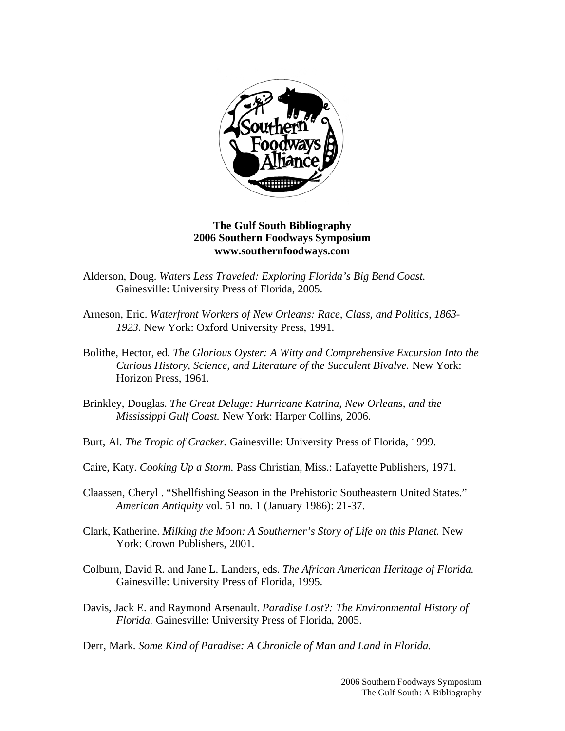

## **The Gulf South Bibliography 2006 Southern Foodways Symposium www.southernfoodways.com**

- Alderson, Doug. *Waters Less Traveled: Exploring Florida's Big Bend Coast.*  Gainesville: University Press of Florida, 2005.
- Arneson, Eric. *Waterfront Workers of New Orleans: Race, Class, and Politics, 1863- 1923.* New York: Oxford University Press, 1991.
- Bolithe, Hector, ed. *The Glorious Oyster: A Witty and Comprehensive Excursion Into the Curious History, Science, and Literature of the Succulent Bivalve.* New York: Horizon Press, 1961.
- Brinkley, Douglas. *The Great Deluge: Hurricane Katrina, New Orleans, and the Mississippi Gulf Coast.* New York: Harper Collins, 2006.
- Burt, Al. *The Tropic of Cracker.* Gainesville: University Press of Florida, 1999.
- Caire, Katy. *Cooking Up a Storm.* Pass Christian, Miss.: Lafayette Publishers, 1971.
- Claassen, Cheryl . "Shellfishing Season in the Prehistoric Southeastern United States." *American Antiquity* vol. 51 no. 1 (January 1986): 21-37.
- Clark, Katherine. *Milking the Moon: A Southerner's Story of Life on this Planet.* New York: Crown Publishers, 2001.
- Colburn, David R. and Jane L. Landers, eds. *The African American Heritage of Florida.*  Gainesville: University Press of Florida, 1995.
- Davis, Jack E. and Raymond Arsenault. *Paradise Lost?: The Environmental History of Florida.* Gainesville: University Press of Florida, 2005.

Derr, Mark. *Some Kind of Paradise: A Chronicle of Man and Land in Florida.*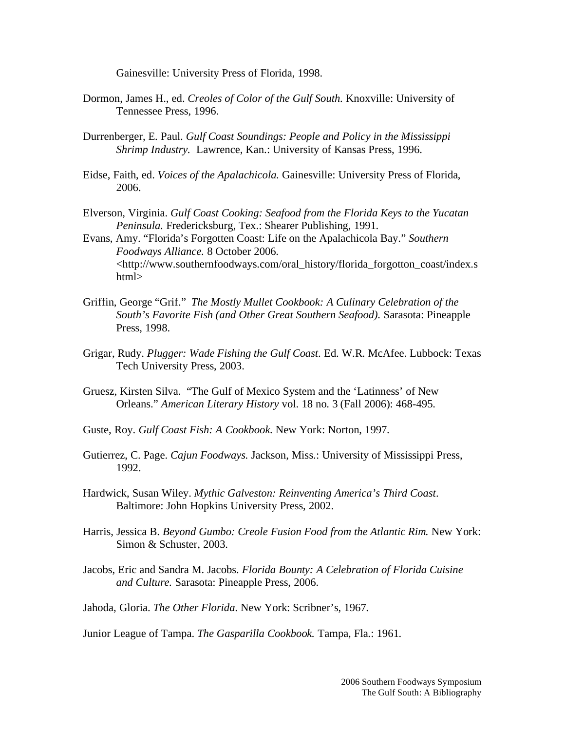Gainesville: University Press of Florida, 1998.

- Dormon, James H., ed. *Creoles of Color of the Gulf South.* Knoxville: University of Tennessee Press, 1996.
- Durrenberger, E. Paul. *Gulf Coast Soundings: People and Policy in the Mississippi Shrimp Industry.* Lawrence, Kan.: University of Kansas Press, 1996.
- Eidse, Faith, ed. *Voices of the Apalachicola.* Gainesville: University Press of Florida, 2006.
- Elverson, Virginia. *Gulf Coast Cooking: Seafood from the Florida Keys to the Yucatan Peninsula.* Fredericksburg, Tex.: Shearer Publishing, 1991.
- Evans, Amy. "Florida's Forgotten Coast: Life on the Apalachicola Bay." *Southern Foodways Alliance.* 8 October 2006. <http://www.southernfoodways.com/oral\_history/florida\_forgotton\_coast/index.s html>
- Griffin, George "Grif." *The Mostly Mullet Cookbook: A Culinary Celebration of the South's Favorite Fish (and Other Great Southern Seafood).* Sarasota: Pineapple Press, 1998.
- Grigar, Rudy. *Plugger: Wade Fishing the Gulf Coast*. Ed. W.R. McAfee. Lubbock: Texas Tech University Press, 2003.
- Gruesz, Kirsten Silva. "The Gulf of Mexico System and the 'Latinness' of New Orleans." *American Literary History* vol. 18 no. 3 (Fall 2006): 468-495.
- Guste, Roy. *Gulf Coast Fish: A Cookbook.* New York: Norton, 1997.
- Gutierrez, C. Page. *Cajun Foodways.* Jackson, Miss.: University of Mississippi Press, 1992.
- Hardwick, Susan Wiley. *Mythic Galveston: Reinventing America's Third Coast*. Baltimore: John Hopkins University Press, 2002.
- Harris, Jessica B. *Beyond Gumbo: Creole Fusion Food from the Atlantic Rim.* New York: Simon & Schuster, 2003.
- Jacobs, Eric and Sandra M. Jacobs. *Florida Bounty: A Celebration of Florida Cuisine and Culture.* Sarasota: Pineapple Press, 2006.
- Jahoda, Gloria. *The Other Florida*. New York: Scribner's, 1967.

Junior League of Tampa. *The Gasparilla Cookbook.* Tampa, Fla.: 1961.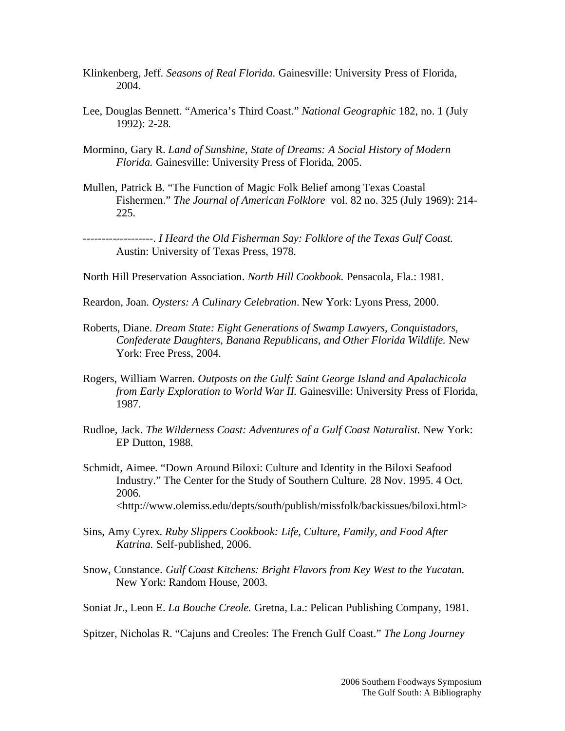- Klinkenberg, Jeff. *Seasons of Real Florida.* Gainesville: University Press of Florida, 2004.
- Lee, Douglas Bennett. "America's Third Coast." *National Geographic* 182, no. 1 (July 1992): 2-28.
- Mormino, Gary R. *Land of Sunshine, State of Dreams: A Social History of Modern Florida.* Gainesville: University Press of Florida, 2005.
- Mullen, Patrick B. "The Function of Magic Folk Belief among Texas Coastal Fishermen." *The Journal of American Folklore* vol. 82 no. 325 (July 1969): 214- 225.

-------------------. *I Heard the Old Fisherman Say: Folklore of the Texas Gulf Coast.*  Austin: University of Texas Press, 1978.

North Hill Preservation Association. *North Hill Cookbook.* Pensacola, Fla.: 1981.

Reardon, Joan. *Oysters: A Culinary Celebration*. New York: Lyons Press, 2000.

- Roberts, Diane. *Dream State: Eight Generations of Swamp Lawyers, Conquistadors, Confederate Daughters, Banana Republicans, and Other Florida Wildlife.* New York: Free Press, 2004.
- Rogers, William Warren. *Outposts on the Gulf: Saint George Island and Apalachicola from Early Exploration to World War II.* Gainesville: University Press of Florida, 1987.
- Rudloe, Jack. *The Wilderness Coast: Adventures of a Gulf Coast Naturalist.* New York: EP Dutton, 1988.
- Schmidt, Aimee. "Down Around Biloxi: Culture and Identity in the Biloxi Seafood Industry." The Center for the Study of Southern Culture*.* 28 Nov. 1995. 4 Oct. 2006. <http://www.olemiss.edu/depts/south/publish/missfolk/backissues/biloxi.html>
- Sins, Amy Cyrex. *Ruby Slippers Cookbook: Life, Culture, Family, and Food After Katrina.* Self-published, 2006.
- Snow, Constance. *Gulf Coast Kitchens: Bright Flavors from Key West to the Yucatan.*  New York: Random House, 2003.
- Soniat Jr., Leon E. *La Bouche Creole.* Gretna, La.: Pelican Publishing Company, 1981.

Spitzer, Nicholas R. "Cajuns and Creoles: The French Gulf Coast." *The Long Journey*